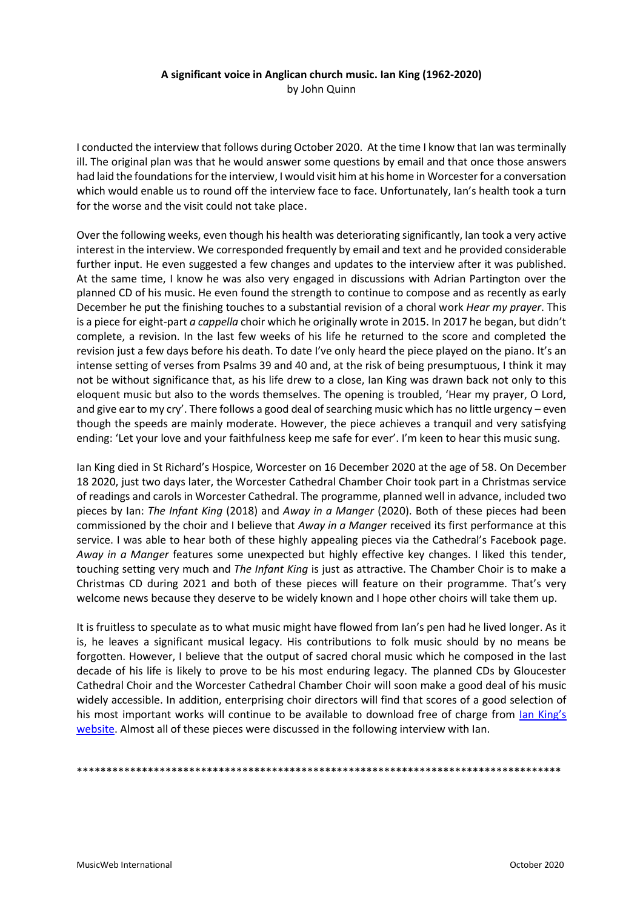## **A significant voice in Anglican church music. Ian King (1962-2020)** by John Quinn

I conducted the interview that follows during October 2020. At the time I know that Ian was terminally ill. The original plan was that he would answer some questions by email and that once those answers had laid the foundations for the interview, I would visit him at his home in Worcester for a conversation which would enable us to round off the interview face to face. Unfortunately, Ian's health took a turn for the worse and the visit could not take place.

Over the following weeks, even though his health was deteriorating significantly, Ian took a very active interest in the interview. We corresponded frequently by email and text and he provided considerable further input. He even suggested a few changes and updates to the interview after it was published. At the same time, I know he was also very engaged in discussions with Adrian Partington over the planned CD of his music. He even found the strength to continue to compose and as recently as early December he put the finishing touches to a substantial revision of a choral work *Hear my prayer*. This is a piece for eight-part *a cappella* choir which he originally wrote in 2015. In 2017 he began, but didn't complete, a revision. In the last few weeks of his life he returned to the score and completed the revision just a few days before his death. To date I've only heard the piece played on the piano. It's an intense setting of verses from Psalms 39 and 40 and, at the risk of being presumptuous, I think it may not be without significance that, as his life drew to a close, Ian King was drawn back not only to this eloquent music but also to the words themselves. The opening is troubled, 'Hear my prayer, O Lord, and give ear to my cry'. There follows a good deal of searching music which has no little urgency – even though the speeds are mainly moderate. However, the piece achieves a tranquil and very satisfying ending: 'Let your love and your faithfulness keep me safe for ever'. I'm keen to hear this music sung.

Ian King died in St Richard's Hospice, Worcester on 16 December 2020 at the age of 58. On December 18 2020, just two days later, the Worcester Cathedral Chamber Choir took part in a Christmas service of readings and carols in Worcester Cathedral. The programme, planned well in advance, included two pieces by Ian: *The Infant King* (2018) and *Away in a Manger* (2020). Both of these pieces had been commissioned by the choir and I believe that *Away in a Manger* received its first performance at this service. I was able to hear both of these highly appealing pieces via the Cathedral's Facebook page. *Away in a Manger* features some unexpected but highly effective key changes. I liked this tender, touching setting very much and *The Infant King* is just as attractive. The Chamber Choir is to make a Christmas CD during 2021 and both of these pieces will feature on their programme. That's very welcome news because they deserve to be widely known and I hope other choirs will take them up.

It is fruitless to speculate as to what music might have flowed from Ian's pen had he lived longer. As it is, he leaves a significant musical legacy. His contributions to folk music should by no means be forgotten. However, I believe that the output of sacred choral music which he composed in the last decade of his life is likely to prove to be his most enduring legacy. The planned CDs by Gloucester Cathedral Choir and the Worcester Cathedral Chamber Choir will soon make a good deal of his music widely accessible. In addition, enterprising choir directors will find that scores of a good selection of his most important works will continue to be available to download free of charge from [Ian King's](https://www.iankingmusic.co.uk/free-scores) [website.](https://www.iankingmusic.co.uk/free-scores) Almost all of these pieces were discussed in the following interview with Ian.

\*\*\*\*\*\*\*\*\*\*\*\*\*\*\*\*\*\*\*\*\*\*\*\*\*\*\*\*\*\*\*\*\*\*\*\*\*\*\*\*\*\*\*\*\*\*\*\*\*\*\*\*\*\*\*\*\*\*\*\*\*\*\*\*\*\*\*\*\*\*\*\*\*\*\*\*\*\*\*\*\*\*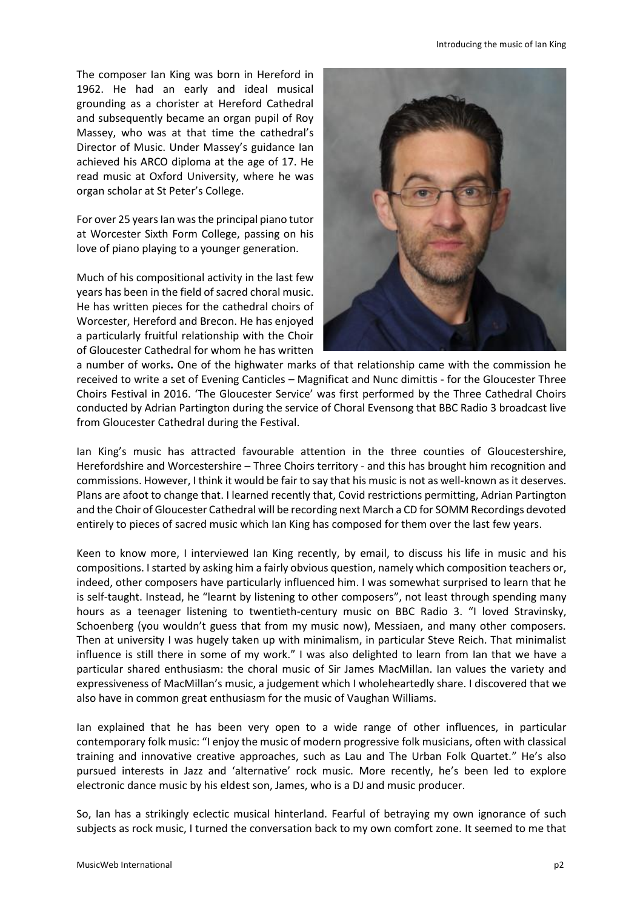The composer Ian King was born in Hereford in 1962. He had an early and ideal musical grounding as a chorister at Hereford Cathedral and subsequently became an organ pupil of Roy Massey, who was at that time the cathedral's Director of Music. Under Massey's guidance Ian achieved his ARCO diploma at the age of 17. He read music at Oxford University, where he was organ scholar at St Peter's College.

For over 25 years Ian was the principal piano tutor at Worcester Sixth Form College, passing on his love of piano playing to a younger generation.

Much of his compositional activity in the last few years has been in the field of sacred choral music. He has written pieces for the cathedral choirs of Worcester, Hereford and Brecon. He has enjoyed a particularly fruitful relationship with the Choir of Gloucester Cathedral for whom he has written



a number of works**.** One of the highwater marks of that relationship came with the commission he received to write a set of Evening Canticles – Magnificat and Nunc dimittis - for the Gloucester Three Choirs Festival in 2016. 'The Gloucester Service' was first performed by the Three Cathedral Choirs conducted by Adrian Partington during the service of Choral Evensong that BBC Radio 3 broadcast live from Gloucester Cathedral during the Festival.

Ian King's music has attracted favourable attention in the three counties of Gloucestershire, Herefordshire and Worcestershire – Three Choirs territory - and this has brought him recognition and commissions. However, I think it would be fair to say that his music is not as well-known as it deserves. Plans are afoot to change that. I learned recently that, Covid restrictions permitting, Adrian Partington and the Choir of Gloucester Cathedral will be recording next March a CD for SOMM Recordings devoted entirely to pieces of sacred music which Ian King has composed for them over the last few years.

Keen to know more, I interviewed Ian King recently, by email, to discuss his life in music and his compositions. I started by asking him a fairly obvious question, namely which composition teachers or, indeed, other composers have particularly influenced him. I was somewhat surprised to learn that he is self-taught. Instead, he "learnt by listening to other composers", not least through spending many hours as a teenager listening to twentieth-century music on BBC Radio 3. "I loved Stravinsky, Schoenberg (you wouldn't guess that from my music now), Messiaen, and many other composers. Then at university I was hugely taken up with minimalism, in particular Steve Reich. That minimalist influence is still there in some of my work." I was also delighted to learn from Ian that we have a particular shared enthusiasm: the choral music of Sir James MacMillan. Ian values the variety and expressiveness of MacMillan's music, a judgement which I wholeheartedly share. I discovered that we also have in common great enthusiasm for the music of Vaughan Williams.

Ian explained that he has been very open to a wide range of other influences, in particular contemporary folk music: "I enjoy the music of modern progressive folk musicians, often with classical training and innovative creative approaches, such as Lau and The Urban Folk Quartet*.*" He's also pursued interests in Jazz and 'alternative' rock music. More recently, he's been led to explore electronic dance music by his eldest son, James, who is a DJ and music producer.

So, Ian has a strikingly eclectic musical hinterland. Fearful of betraying my own ignorance of such subjects as rock music, I turned the conversation back to my own comfort zone. It seemed to me that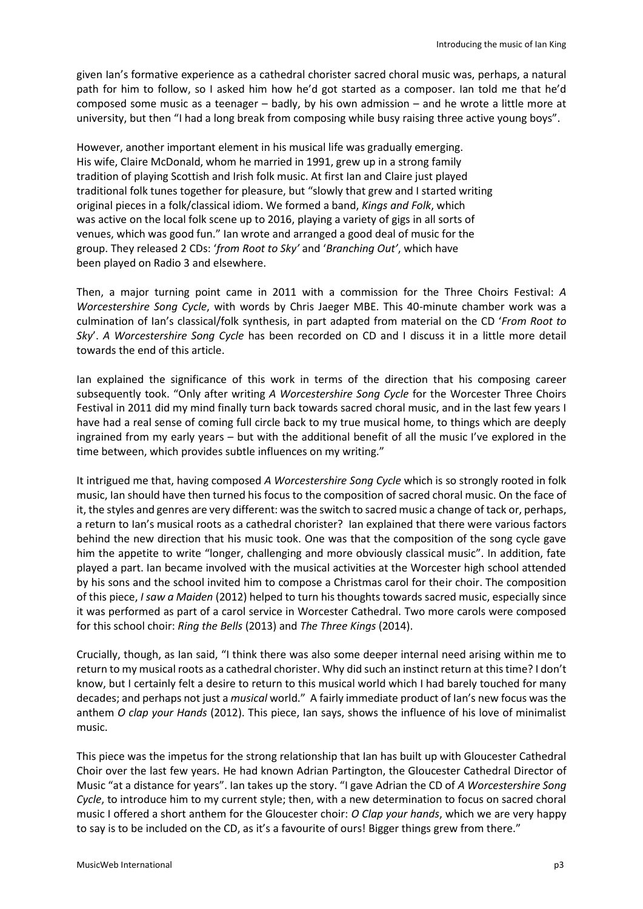given Ian's formative experience as a cathedral chorister sacred choral music was, perhaps, a natural path for him to follow, so I asked him how he'd got started as a composer. Ian told me that he'd composed some music as a teenager – badly, by his own admission – and he wrote a little more at university, but then "I had a long break from composing while busy raising three active young boys".

However, another important element in his musical life was gradually emerging. His wife, Claire McDonald, whom he married in 1991, grew up in a strong family tradition of playing Scottish and Irish folk music. At first Ian and Claire just played traditional folk tunes together for pleasure, but "slowly that grew and I started writing original pieces in a folk/classical idiom. We formed a band, *Kings and Folk*, which was active on the local folk scene up to 2016, playing a variety of gigs in all sorts of venues, which was good fun." Ian wrote and arranged a good deal of music for the group. They released 2 CDs: '*from Root to Sky'* and '*Branching Out'*, which have been played on Radio 3 and elsewhere.

Then, a major turning point came in 2011 with a commission for the Three Choirs Festival: *A Worcestershire Song Cycle*, with words by Chris Jaeger MBE. This 40-minute chamber work was a culmination of Ian's classical/folk synthesis, in part adapted from material on the CD '*From Root to Sky*'. *A Worcestershire Song Cycle* has been recorded on CD and I discuss it in a little more detail towards the end of this article.

Ian explained the significance of this work in terms of the direction that his composing career subsequently took. "Only after writing *A Worcestershire Song Cycle* for the Worcester Three Choirs Festival in 2011 did my mind finally turn back towards sacred choral music, and in the last few years I have had a real sense of coming full circle back to my true musical home, to things which are deeply ingrained from my early years – but with the additional benefit of all the music I've explored in the time between, which provides subtle influences on my writing."

It intrigued me that, having composed *A Worcestershire Song Cycle* which is so strongly rooted in folk music, Ian should have then turned his focus to the composition of sacred choral music. On the face of it, the styles and genres are very different: was the switch to sacred music a change of tack or, perhaps, a return to Ian's musical roots as a cathedral chorister? Ian explained that there were various factors behind the new direction that his music took. One was that the composition of the song cycle gave him the appetite to write "longer, challenging and more obviously classical music". In addition, fate played a part. Ian became involved with the musical activities at the Worcester high school attended by his sons and the school invited him to compose a Christmas carol for their choir. The composition of this piece, *I saw a Maiden* (2012) helped to turn his thoughts towards sacred music, especially since it was performed as part of a carol service in Worcester Cathedral. Two more carols were composed for this school choir: *Ring the Bells* (2013) and *The Three Kings* (2014).

Crucially, though, as Ian said, "I think there was also some deeper internal need arising within me to return to my musical roots as a cathedral chorister. Why did such an instinct return at this time? I don't know, but I certainly felt a desire to return to this musical world which I had barely touched for many decades; and perhaps not just a *musical* world." A fairly immediate product of Ian's new focus was the anthem *O clap your Hands* (2012). This piece, Ian says, shows the influence of his love of minimalist music.

This piece was the impetus for the strong relationship that Ian has built up with Gloucester Cathedral Choir over the last few years. He had known Adrian Partington, the Gloucester Cathedral Director of Music "at a distance for years". Ian takes up the story. "I gave Adrian the CD of *A Worcestershire Song Cycle*, to introduce him to my current style; then, with a new determination to focus on sacred choral music I offered a short anthem for the Gloucester choir: *O Clap your hands*, which we are very happy to say is to be included on the CD, as it's a favourite of ours! Bigger things grew from there."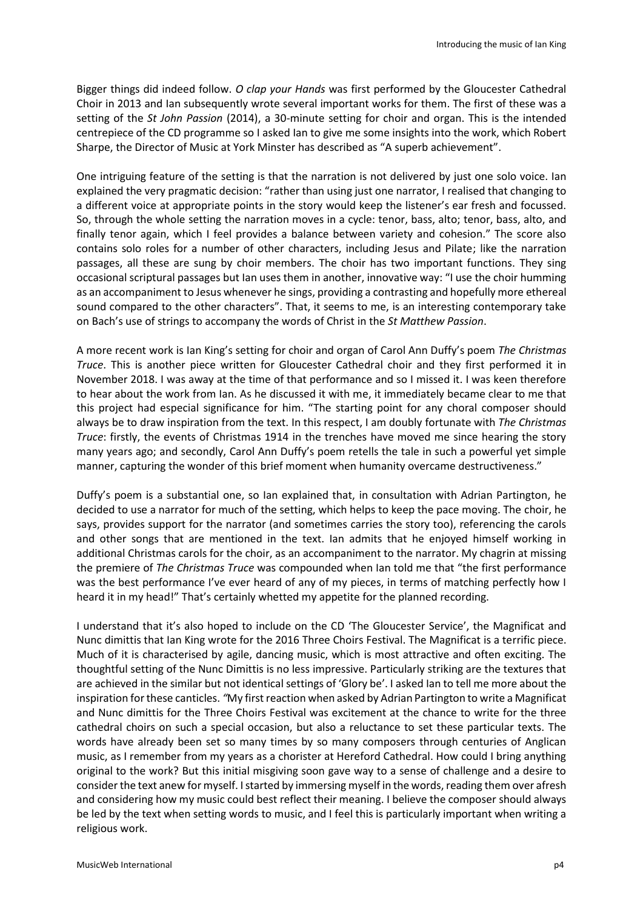Bigger things did indeed follow. *O clap your Hands* was first performed by the Gloucester Cathedral Choir in 2013 and Ian subsequently wrote several important works for them. The first of these was a setting of the *St John Passion* (2014), a 30-minute setting for choir and organ. This is the intended centrepiece of the CD programme so I asked Ian to give me some insights into the work, which Robert Sharpe, the Director of Music at York Minster has described as "A superb achievement".

One intriguing feature of the setting is that the narration is not delivered by just one solo voice. Ian explained the very pragmatic decision: "rather than using just one narrator, I realised that changing to a different voice at appropriate points in the story would keep the listener's ear fresh and focussed. So, through the whole setting the narration moves in a cycle: tenor, bass, alto; tenor, bass, alto, and finally tenor again, which I feel provides a balance between variety and cohesion." The score also contains solo roles for a number of other characters, including Jesus and Pilate; like the narration passages, all these are sung by choir members. The choir has two important functions. They sing occasional scriptural passages but Ian uses them in another, innovative way: "I use the choir humming as an accompaniment to Jesus whenever he sings, providing a contrasting and hopefully more ethereal sound compared to the other characters". That, it seems to me, is an interesting contemporary take on Bach's use of strings to accompany the words of Christ in the *St Matthew Passion*.

A more recent work is Ian King's setting for choir and organ of Carol Ann Duffy's poem *The Christmas Truce*. This is another piece written for Gloucester Cathedral choir and they first performed it in November 2018. I was away at the time of that performance and so I missed it. I was keen therefore to hear about the work from Ian. As he discussed it with me, it immediately became clear to me that this project had especial significance for him. "The starting point for any choral composer should always be to draw inspiration from the text. In this respect, I am doubly fortunate with *The Christmas Truce*: firstly, the events of Christmas 1914 in the trenches have moved me since hearing the story many years ago; and secondly, Carol Ann Duffy's poem retells the tale in such a powerful yet simple manner, capturing the wonder of this brief moment when humanity overcame destructiveness."

Duffy's poem is a substantial one, so Ian explained that, in consultation with Adrian Partington, he decided to use a narrator for much of the setting, which helps to keep the pace moving. The choir, he says, provides support for the narrator (and sometimes carries the story too), referencing the carols and other songs that are mentioned in the text. Ian admits that he enjoyed himself working in additional Christmas carols for the choir, as an accompaniment to the narrator. My chagrin at missing the premiere of *The Christmas Truce* was compounded when Ian told me that "the first performance was the best performance I've ever heard of any of my pieces, in terms of matching perfectly how I heard it in my head!" That's certainly whetted my appetite for the planned recording.

I understand that it's also hoped to include on the CD 'The Gloucester Service', the Magnificat and Nunc dimittis that Ian King wrote for the 2016 Three Choirs Festival. The Magnificat is a terrific piece. Much of it is characterised by agile, dancing music, which is most attractive and often exciting. The thoughtful setting of the Nunc Dimittis is no less impressive. Particularly striking are the textures that are achieved in the similar but not identical settings of 'Glory be'. I asked Ian to tell me more about the inspiration for these canticles. *"*My first reaction when asked by Adrian Partington to write a Magnificat and Nunc dimittis for the Three Choirs Festival was excitement at the chance to write for the three cathedral choirs on such a special occasion, but also a reluctance to set these particular texts. The words have already been set so many times by so many composers through centuries of Anglican music, as I remember from my years as a chorister at Hereford Cathedral. How could I bring anything original to the work? But this initial misgiving soon gave way to a sense of challenge and a desire to consider the text anew for myself. I started by immersing myself in the words, reading them over afresh and considering how my music could best reflect their meaning. I believe the composer should always be led by the text when setting words to music, and I feel this is particularly important when writing a religious work.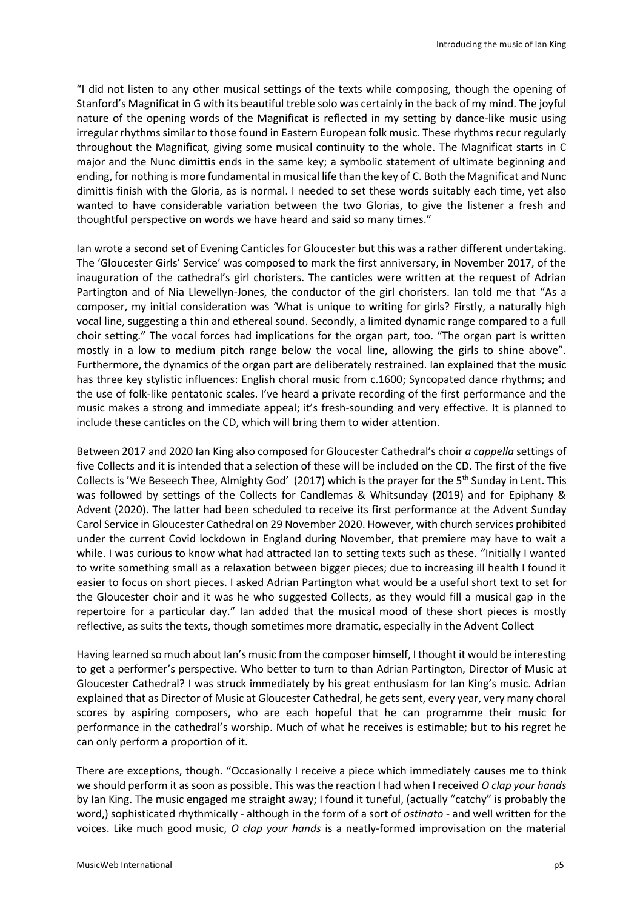"I did not listen to any other musical settings of the texts while composing, though the opening of Stanford's Magnificat in G with its beautiful treble solo was certainly in the back of my mind. The joyful nature of the opening words of the Magnificat is reflected in my setting by dance-like music using irregular rhythms similar to those found in Eastern European folk music. These rhythms recur regularly throughout the Magnificat, giving some musical continuity to the whole. The Magnificat starts in C major and the Nunc dimittis ends in the same key; a symbolic statement of ultimate beginning and ending, for nothing is more fundamental in musical life than the key of C. Both the Magnificat and Nunc dimittis finish with the Gloria, as is normal. I needed to set these words suitably each time, yet also wanted to have considerable variation between the two Glorias, to give the listener a fresh and thoughtful perspective on words we have heard and said so many times."

Ian wrote a second set of Evening Canticles for Gloucester but this was a rather different undertaking. The 'Gloucester Girls' Service' was composed to mark the first anniversary, in November 2017, of the inauguration of the cathedral's girl choristers. The canticles were written at the request of Adrian Partington and of Nia Llewellyn-Jones, the conductor of the girl choristers. Ian told me that "As a composer, my initial consideration was 'What is unique to writing for girls? Firstly, a naturally high vocal line, suggesting a thin and ethereal sound. Secondly, a limited dynamic range compared to a full choir setting." The vocal forces had implications for the organ part, too. "The organ part is written mostly in a low to medium pitch range below the vocal line, allowing the girls to shine above". Furthermore, the dynamics of the organ part are deliberately restrained. Ian explained that the music has three key stylistic influences: English choral music from c.1600; Syncopated dance rhythms; and the use of folk-like pentatonic scales. I've heard a private recording of the first performance and the music makes a strong and immediate appeal; it's fresh-sounding and very effective. It is planned to include these canticles on the CD, which will bring them to wider attention.

Between 2017 and 2020 Ian King also composed for Gloucester Cathedral's choir *a cappella* settings of five Collects and it is intended that a selection of these will be included on the CD. The first of the five Collects is 'We Beseech Thee, Almighty God' (2017) which is the prayer for the 5<sup>th</sup> Sunday in Lent. This was followed by settings of the Collects for Candlemas & Whitsunday (2019) and for Epiphany & Advent (2020). The latter had been scheduled to receive its first performance at the Advent Sunday Carol Service in Gloucester Cathedral on 29 November 2020. However, with church services prohibited under the current Covid lockdown in England during November, that premiere may have to wait a while. I was curious to know what had attracted Ian to setting texts such as these. "Initially I wanted to write something small as a relaxation between bigger pieces; due to increasing ill health I found it easier to focus on short pieces. I asked Adrian Partington what would be a useful short text to set for the Gloucester choir and it was he who suggested Collects, as they would fill a musical gap in the repertoire for a particular day." Ian added that the musical mood of these short pieces is mostly reflective, as suits the texts, though sometimes more dramatic, especially in the Advent Collect

Having learned so much about Ian's music from the composer himself, I thought it would be interesting to get a performer's perspective. Who better to turn to than Adrian Partington, Director of Music at Gloucester Cathedral? I was struck immediately by his great enthusiasm for Ian King's music. Adrian explained that as Director of Music at Gloucester Cathedral, he gets sent, every year, very many choral scores by aspiring composers, who are each hopeful that he can programme their music for performance in the cathedral's worship. Much of what he receives is estimable; but to his regret he can only perform a proportion of it.

There are exceptions, though. "Occasionally I receive a piece which immediately causes me to think we should perform it as soon as possible. This was the reaction I had when I received *O clap your hands*  by Ian King. The music engaged me straight away; I found it tuneful, (actually "catchy" is probably the word,) sophisticated rhythmically - although in the form of a sort of *ostinato -* and well written for the voices. Like much good music, *O clap your hands* is a neatly-formed improvisation on the material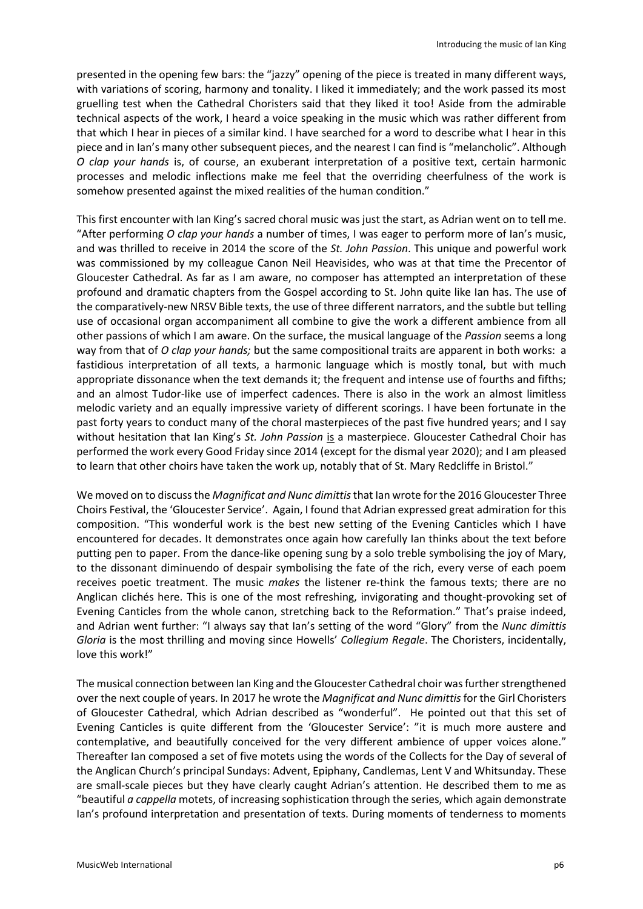presented in the opening few bars: the "jazzy" opening of the piece is treated in many different ways, with variations of scoring, harmony and tonality. I liked it immediately; and the work passed its most gruelling test when the Cathedral Choristers said that they liked it too! Aside from the admirable technical aspects of the work, I heard a voice speaking in the music which was rather different from that which I hear in pieces of a similar kind. I have searched for a word to describe what I hear in this piece and in Ian's many other subsequent pieces, and the nearest I can find is "melancholic". Although *O clap your hands* is, of course, an exuberant interpretation of a positive text, certain harmonic processes and melodic inflections make me feel that the overriding cheerfulness of the work is somehow presented against the mixed realities of the human condition."

This first encounter with Ian King's sacred choral music was just the start, as Adrian went on to tell me. "After performing *O clap your hands* a number of times, I was eager to perform more of Ian's music, and was thrilled to receive in 2014 the score of the *St. John Passion*. This unique and powerful work was commissioned by my colleague Canon Neil Heavisides, who was at that time the Precentor of Gloucester Cathedral. As far as I am aware, no composer has attempted an interpretation of these profound and dramatic chapters from the Gospel according to St. John quite like Ian has. The use of the comparatively-new NRSV Bible texts, the use of three different narrators, and the subtle but telling use of occasional organ accompaniment all combine to give the work a different ambience from all other passions of which I am aware. On the surface, the musical language of the *Passion* seems a long way from that of *O clap your hands;* but the same compositional traits are apparent in both works: a fastidious interpretation of all texts, a harmonic language which is mostly tonal, but with much appropriate dissonance when the text demands it; the frequent and intense use of fourths and fifths; and an almost Tudor-like use of imperfect cadences. There is also in the work an almost limitless melodic variety and an equally impressive variety of different scorings. I have been fortunate in the past forty years to conduct many of the choral masterpieces of the past five hundred years; and I say without hesitation that Ian King's *St. John Passion* is a masterpiece. Gloucester Cathedral Choir has performed the work every Good Friday since 2014 (except for the dismal year 2020); and I am pleased to learn that other choirs have taken the work up, notably that of St. Mary Redcliffe in Bristol."

We moved on to discuss the *Magnificat and Nunc dimittis*that Ian wrote for the 2016 Gloucester Three Choirs Festival, the 'Gloucester Service'. Again, I found that Adrian expressed great admiration for this composition. "This wonderful work is the best new setting of the Evening Canticles which I have encountered for decades. It demonstrates once again how carefully Ian thinks about the text before putting pen to paper. From the dance-like opening sung by a solo treble symbolising the joy of Mary, to the dissonant diminuendo of despair symbolising the fate of the rich, every verse of each poem receives poetic treatment. The music *makes* the listener re-think the famous texts; there are no Anglican clichés here. This is one of the most refreshing, invigorating and thought-provoking set of Evening Canticles from the whole canon, stretching back to the Reformation." That's praise indeed, and Adrian went further: "I always say that Ian's setting of the word "Glory" from the *Nunc dimittis Gloria* is the most thrilling and moving since Howells' *Collegium Regale*. The Choristers, incidentally, love this work!"

The musical connection between Ian King and the Gloucester Cathedral choir was further strengthened over the next couple of years. In 2017 he wrote the *Magnificat and Nunc dimittis* for the Girl Choristers of Gloucester Cathedral, which Adrian described as "wonderful". He pointed out that this set of Evening Canticles is quite different from the 'Gloucester Service': "it is much more austere and contemplative, and beautifully conceived for the very different ambience of upper voices alone." Thereafter Ian composed a set of five motets using the words of the Collects for the Day of several of the Anglican Church's principal Sundays: Advent, Epiphany, Candlemas, Lent V and Whitsunday. These are small-scale pieces but they have clearly caught Adrian's attention. He described them to me as "beautiful *a cappella* motets, of increasing sophistication through the series, which again demonstrate Ian's profound interpretation and presentation of texts. During moments of tenderness to moments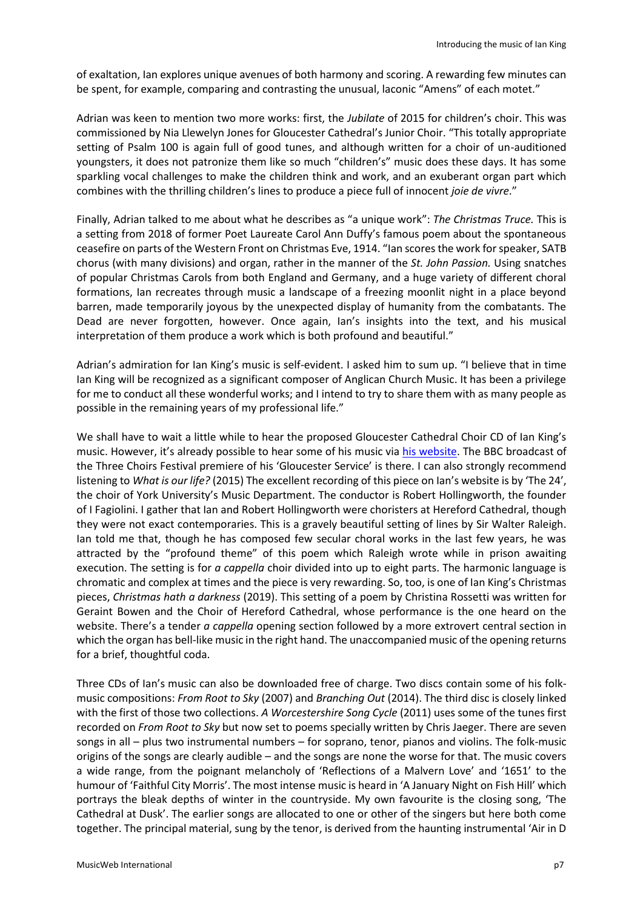of exaltation, Ian explores unique avenues of both harmony and scoring. A rewarding few minutes can be spent, for example, comparing and contrasting the unusual, laconic "Amens" of each motet."

Adrian was keen to mention two more works: first, the *Jubilate* of 2015 for children's choir. This was commissioned by Nia Llewelyn Jones for Gloucester Cathedral's Junior Choir. "This totally appropriate setting of Psalm 100 is again full of good tunes, and although written for a choir of un-auditioned youngsters, it does not patronize them like so much "children's" music does these days. It has some sparkling vocal challenges to make the children think and work, and an exuberant organ part which combines with the thrilling children's lines to produce a piece full of innocent *joie de vivre*."

Finally, Adrian talked to me about what he describes as "a unique work": *The Christmas Truce.* This is a setting from 2018 of former Poet Laureate Carol Ann Duffy's famous poem about the spontaneous ceasefire on parts of the Western Front on Christmas Eve, 1914. "Ian scores the work for speaker, SATB chorus (with many divisions) and organ, rather in the manner of the *St. John Passion.* Using snatches of popular Christmas Carols from both England and Germany, and a huge variety of different choral formations, Ian recreates through music a landscape of a freezing moonlit night in a place beyond barren, made temporarily joyous by the unexpected display of humanity from the combatants. The Dead are never forgotten, however. Once again, Ian's insights into the text, and his musical interpretation of them produce a work which is both profound and beautiful."

Adrian's admiration for Ian King's music is self-evident. I asked him to sum up. "I believe that in time Ian King will be recognized as a significant composer of Anglican Church Music. It has been a privilege for me to conduct all these wonderful works; and I intend to try to share them with as many people as possible in the remaining years of my professional life."

We shall have to wait a little while to hear the proposed Gloucester Cathedral Choir CD of Ian King's music. However, it's already possible to hear some of his music vi[a his website.](https://www.iankingmusic.co.uk/) The BBC broadcast of the Three Choirs Festival premiere of his 'Gloucester Service' is there. I can also strongly recommend listening to *What is our life?* (2015) The excellent recording of this piece on Ian's website is by 'The 24', the choir of York University's Music Department. The conductor is Robert Hollingworth, the founder of I Fagiolini. I gather that Ian and Robert Hollingworth were choristers at Hereford Cathedral, though they were not exact contemporaries. This is a gravely beautiful setting of lines by Sir Walter Raleigh. Ian told me that, though he has composed few secular choral works in the last few years, he was attracted by the "profound theme" of this poem which Raleigh wrote while in prison awaiting execution. The setting is for *a cappella* choir divided into up to eight parts. The harmonic language is chromatic and complex at times and the piece is very rewarding. So, too, is one of Ian King's Christmas pieces, *Christmas hath a darkness* (2019). This setting of a poem by Christina Rossetti was written for Geraint Bowen and the Choir of Hereford Cathedral, whose performance is the one heard on the website. There's a tender *a cappella* opening section followed by a more extrovert central section in which the organ has bell-like music in the right hand. The unaccompanied music of the opening returns for a brief, thoughtful coda.

Three CDs of Ian's music can also be downloaded free of charge. Two discs contain some of his folkmusic compositions: *From Root to Sky* (2007) and *Branching Out* (2014). The third disc is closely linked with the first of those two collections. *A Worcestershire Song Cycle* (2011) uses some of the tunes first recorded on *From Root to Sky* but now set to poems specially written by Chris Jaeger. There are seven songs in all – plus two instrumental numbers – for soprano, tenor, pianos and violins. The folk-music origins of the songs are clearly audible – and the songs are none the worse for that. The music covers a wide range, from the poignant melancholy of 'Reflections of a Malvern Love' and '1651' to the humour of 'Faithful City Morris'. The most intense music is heard in 'A January Night on Fish Hill' which portrays the bleak depths of winter in the countryside. My own favourite is the closing song, 'The Cathedral at Dusk'. The earlier songs are allocated to one or other of the singers but here both come together. The principal material, sung by the tenor, is derived from the haunting instrumental 'Air in D